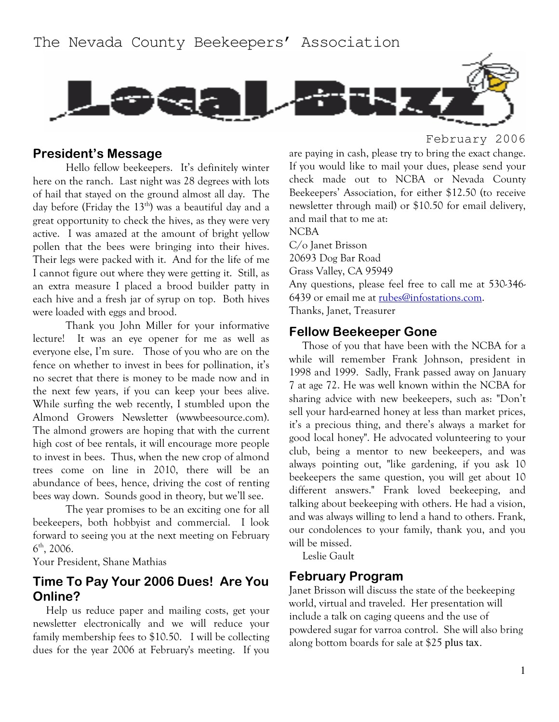

## **President's Message**

Hello fellow beekeepers. It's definitely winter here on the ranch. Last night was 28 degrees with lots of hail that stayed on the ground almost all day. The day before (Friday the  $13<sup>th</sup>$ ) was a beautiful day and a great opportunity to check the hives, as they were very active. I was amazed at the amount of bright yellow pollen that the bees were bringing into their hives. Their legs were packed with it. And for the life of me I cannot figure out where they were getting it. Still, as an extra measure I placed a brood builder patty in each hive and a fresh jar of syrup on top. Both hives were loaded with eggs and brood.

Thank you John Miller for your informative lecture! It was an eye opener for me as well as everyone else, I'm sure. Those of you who are on the fence on whether to invest in bees for pollination, it's no secret that there is money to be made now and in the next few years, if you can keep your bees alive. While surfing the web recently, I stumbled upon the Almond Growers Newsletter (wwwbeesource.com). The almond growers are hoping that with the current high cost of bee rentals, it will encourage more people to invest in bees. Thus, when the new crop of almond trees come on line in 2010, there will be an abundance of bees, hence, driving the cost of renting bees way down. Sounds good in theory, but we'll see.

The year promises to be an exciting one for all beekeepers, both hobbyist and commercial. I look forward to seeing you at the next meeting on February  $6^{\text{th}}$ , 2006.

Your President, Shane Mathias

# Time To Pay Your 2006 Dues! Are You Online?

Help us reduce paper and mailing costs, get your newsletter electronically and we will reduce your family membership fees to \$10.50. I will be collecting dues for the year 2006 at February's meeting. If you February 2006

are paying in cash, please try to bring the exact change. If you would like to mail your dues, please send your check made out to NCBA or Nevada County Beekeepers' Association, for either \$12.50 (to receive newsletter through mail) or \$10.50 for email delivery, and mail that to me at:

**NCBA** C/o Janet Brisson 20693 Dog Bar Road Grass Valley, CA 95949 Any questions, please feel free to call me at 530-346-6439 or email me at rubes@infostations.com. Thanks, Janet, Treasurer

#### **Fellow Beekeeper Gone**

Those of you that have been with the NCBA for a while will remember Frank Johnson, president in 1998 and 1999. Sadly, Frank passed away on January 7 at age 72. He was well known within the NCBA for sharing advice with new beekeepers, such as: "Don't sell your hard-earned honey at less than market prices, it's a precious thing, and there's always a market for good local honey". He advocated volunteering to your club, being a mentor to new beekeepers, and was always pointing out, "like gardening, if you ask 10 beekeepers the same question, you will get about 10 different answers." Frank loved beekeeping, and talking about beekeeping with others. He had a vision, and was always willing to lend a hand to others. Frank, our condolences to your family, thank you, and you will be missed.

Leslie Gault

## **February Program**

Janet Brisson will discuss the state of the beekeeping world, virtual and traveled. Her presentation will include a talk on caging queens and the use of powdered sugar for varroa control. She will also bring along bottom boards for sale at \$25 plus tax.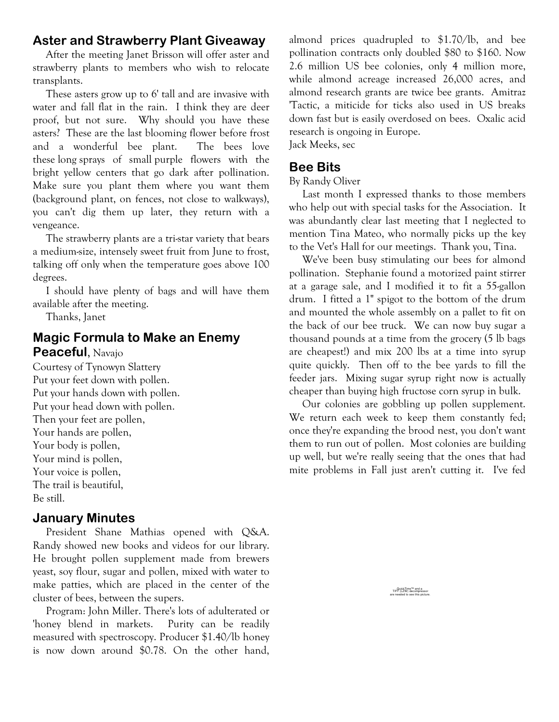# **Aster and Strawberry Plant Giveaway**

After the meeting Janet Brisson will offer aster and strawberry plants to members who wish to relocate transplants.

These asters grow up to 6' tall and are invasive with water and fall flat in the rain. I think they are deer proof, but not sure. Why should you have these asters? These are the last blooming flower before frost and a wonderful bee plant. The bees love these long sprays of small purple flowers with the bright yellow centers that go dark after pollination. Make sure you plant them where you want them (background plant, on fences, not close to walkways), you can't dig them up later, they return with a vengeance.

The strawberry plants are a tri-star variety that bears a medium-size, intensely sweet fruit from June to frost, talking off only when the temperature goes above 100 degrees.

I should have plenty of bags and will have them available after the meeting.

Thanks, Janet

## **Magic Formula to Make an Enemy Peaceful, Navajo**

Courtesy of Tynowyn Slattery Put your feet down with pollen. Put your hands down with pollen. Put your head down with pollen. Then your feet are pollen, Your hands are pollen, Your body is pollen, Your mind is pollen, Your voice is pollen, The trail is beautiful, Be still.

# **January Minutes**

President Shane Mathias opened with O&A. Randy showed new books and videos for our library. He brought pollen supplement made from brewers yeast, soy flour, sugar and pollen, mixed with water to make patties, which are placed in the center of the cluster of bees, between the supers.

Program: John Miller. There's lots of adulterated or 'honey blend in markets. Purity can be readily measured with spectroscopy. Producer \$1.40/lb honey is now down around \$0.78. On the other hand, almond prices quadrupled to \$1.70/lb, and bee pollination contracts only doubled \$80 to \$160. Now 2.6 million US bee colonies, only 4 million more, while almond acreage increased 26,000 acres, and almond research grants are twice bee grants. Amitraz 'Tactic, a miticide for ticks also used in US breaks down fast but is easily overdosed on bees. Oxalic acid research is ongoing in Europe.

Jack Meeks, sec

# **Bee Bits**

#### By Randy Oliver

Last month I expressed thanks to those members who help out with special tasks for the Association. It was abundantly clear last meeting that I neglected to mention Tina Mateo, who normally picks up the key to the Vet's Hall for our meetings. Thank you, Tina.

We've been busy stimulating our bees for almond pollination. Stephanie found a motorized paint stirrer at a garage sale, and I modified it to fit a 55-gallon drum. I fitted a 1" spigot to the bottom of the drum and mounted the whole assembly on a pallet to fit on the back of our bee truck. We can now buy sugar a thousand pounds at a time from the grocery (5 lb bags are cheapest!) and mix 200 lbs at a time into syrup quite quickly. Then off to the bee yards to fill the feeder jars. Mixing sugar syrup right now is actually cheaper than buying high fructose corn syrup in bulk.

Our colonies are gobbling up pollen supplement. We return each week to keep them constantly fed; once they're expanding the brood nest, you don't want them to run out of pollen. Most colonies are building up well, but we're really seeing that the ones that had mite problems in Fall just aren't cutting it. I've fed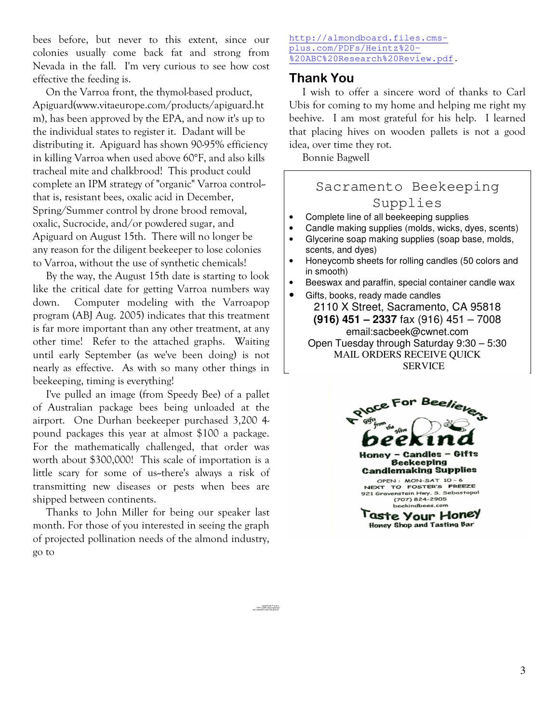bees before, but never to this extent, since our colonies usually come back fat and strong fror Nevada in the fall. I'm very curious to see how cost effective the feeding is.

On the Varroa front, the thymol-based product, Apiguard(www.vitaeurope.com/products/apiguard.ht m), has been approved by the EPA, and now it's up to the individual states to register it. Dadant will be distributing it. Apiguard has shown 90-95% efficiency in killing Varroa when used above 60°F, and also kills tracheal mite and chalkbrood! This product could -complete an IPM strategy of "organic" Varroa control that is, resistant bees, oxalic acid in December, Spring/Summer control by drone brood removal, oxalic, Sucrocide, and/or powdered sugar, and Apiguard on August 15th. There will no longer be any reason for the diligent beekeeper to lose colonies to Varroa, without the use of synthetic chemicals!

By the way, the August 15th date is starting to look like the critical date for getting Varroa numbers way down. Computer modeling with the Varroapop program (ABJ Aug. 2005) indicates that this treatment is far more important than any other treatment, at any other time! Refer to the attached graphs. Waiting until early September (as we've been doing) is not nearly as effective. As with so many other things in beekeeping, timing is everything!

I've pulled an image (from Speedy Bee) of a pallet of Australian package bees being unloaded at the airport. One Durhan beekeeper purchased 3,200 4pound packages this year at almost \$100 a package. For the mathematically challenged, that order was worth about \$300,000! This scale of importation is a little scary for some of us-there's always a risk of transmitting new diseases or pests when bees are shipped between continents.

Thanks to John Miller for being our speaker last month. For those of you interested in seeing the grapl of projected pollination needs of the almond industry, go to

#### http://almondboard.files.cmsplus.com/PDFs/Heintz%20- %20ABC%20Research%20Review.pdf.

## **Thank You**

I wish to offer a sincere word of thanks to Carl Ubis for coming to my home and helping me right my beehive. I am most grateful for his help. I learned that placing hives on wooden pallets is not a good idea, over time they rot.

Bonnie Bagwell

# Sacramento Beekeeping Supplies

- Complete line of all beekeeping supplies
- Candle making supplies (molds, wicks, dyes, scents)
- Glycerine soap making supplies (soap base, molds, scents, and dyes)
- Honeycomb sheets for rolling candles (50 colors and in smooth)
- Beeswax and paraffin, special container candle wax

Gifts, books, ready made candles 2110 X Street, Sacramento, CA 95818 **(916) 451 – 2337** fax (916) 451 – 7008 email:sacbeek@cwnet.com Open Tuesday through Saturday 9:30 – 5:30 MAIL ORDERS RECEIVE QUICK SERVICE



QuickTime™ and a TIFF (LZW) decompressor are needed to see this picture.